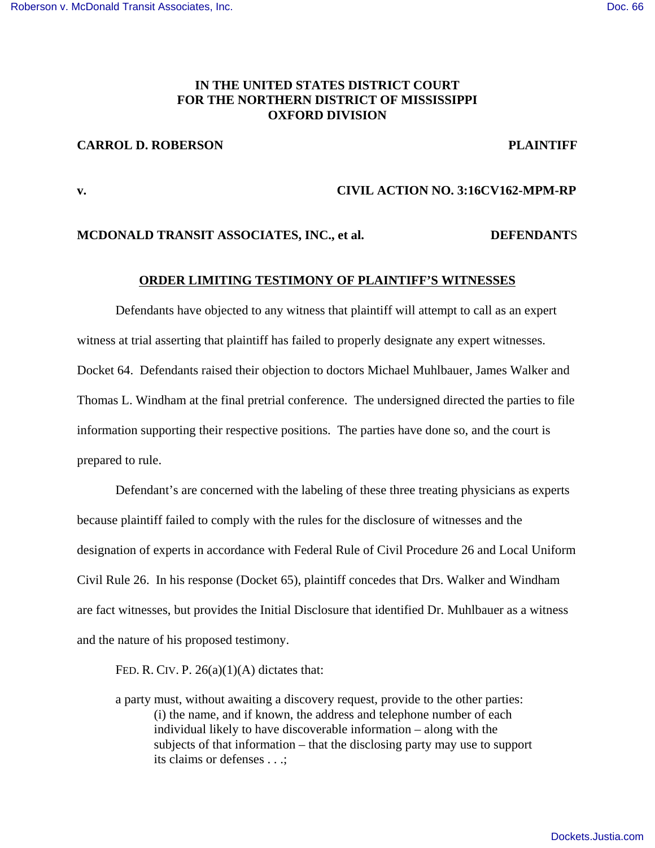## **IN THE UNITED STATES DISTRICT COURT FOR THE NORTHERN DISTRICT OF MISSISSIPPI OXFORD DIVISION**

## **CARROL D. ROBERSON PLAINTIFF**

# **v. CIVIL ACTION NO. 3:16CV162-MPM-RP**

### **MCDONALD TRANSIT ASSOCIATES, INC., et al. DEFENDANT**S

### **ORDER LIMITING TESTIMONY OF PLAINTIFF'S WITNESSES**

Defendants have objected to any witness that plaintiff will attempt to call as an expert witness at trial asserting that plaintiff has failed to properly designate any expert witnesses. Docket 64. Defendants raised their objection to doctors Michael Muhlbauer, James Walker and Thomas L. Windham at the final pretrial conference. The undersigned directed the parties to file information supporting their respective positions. The parties have done so, and the court is prepared to rule.

Defendant's are concerned with the labeling of these three treating physicians as experts because plaintiff failed to comply with the rules for the disclosure of witnesses and the designation of experts in accordance with Federal Rule of Civil Procedure 26 and Local Uniform Civil Rule 26. In his response (Docket 65), plaintiff concedes that Drs. Walker and Windham are fact witnesses, but provides the Initial Disclosure that identified Dr. Muhlbauer as a witness and the nature of his proposed testimony.

FED. R. CIV. P.  $26(a)(1)(A)$  dictates that:

a party must, without awaiting a discovery request, provide to the other parties: (i) the name, and if known, the address and telephone number of each individual likely to have discoverable information – along with the subjects of that information – that the disclosing party may use to support its claims or defenses . . .;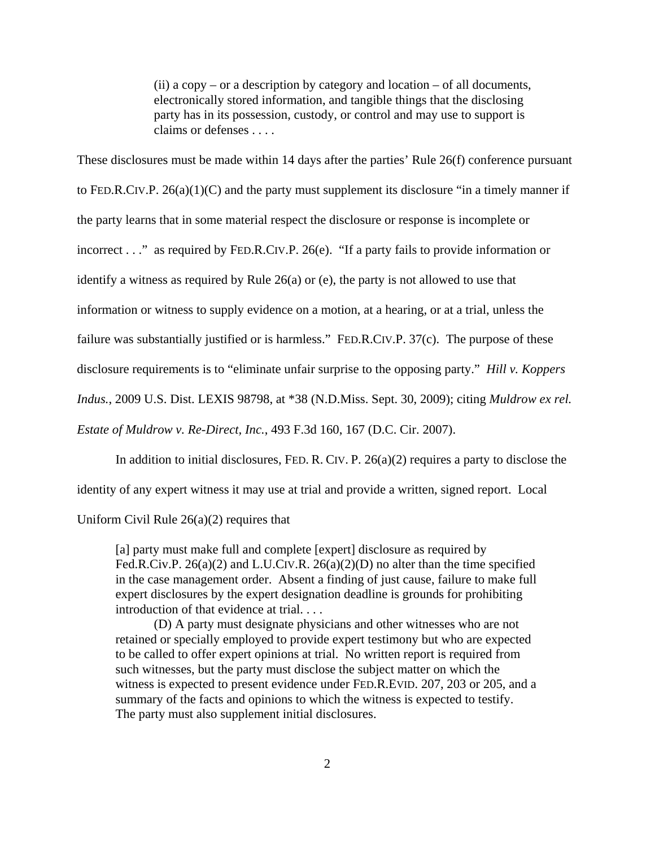$(ii)$  a copy – or a description by category and location – of all documents, electronically stored information, and tangible things that the disclosing party has in its possession, custody, or control and may use to support is claims or defenses . . . .

These disclosures must be made within 14 days after the parties' Rule 26(f) conference pursuant

to FED.R.CIV.P.  $26(a)(1)(C)$  and the party must supplement its disclosure "in a timely manner if

the party learns that in some material respect the disclosure or response is incomplete or

incorrect . . ." as required by FED.R.CIV.P. 26(e). "If a party fails to provide information or

identify a witness as required by Rule 26(a) or (e), the party is not allowed to use that

information or witness to supply evidence on a motion, at a hearing, or at a trial, unless the

failure was substantially justified or is harmless." FED.R.CIV.P. 37(c). The purpose of these

disclosure requirements is to "eliminate unfair surprise to the opposing party." *Hill v. Koppers*

*Indus.*, 2009 U.S. Dist. LEXIS 98798, at \*38 (N.D.Miss. Sept. 30, 2009); citing *Muldrow ex rel.*

*Estate of Muldrow v. Re-Direct, Inc.*, 493 F.3d 160, 167 (D.C. Cir. 2007).

In addition to initial disclosures, FED. R. CIV. P.  $26(a)(2)$  requires a party to disclose the

identity of any expert witness it may use at trial and provide a written, signed report. Local

Uniform Civil Rule 26(a)(2) requires that

[a] party must make full and complete [expert] disclosure as required by Fed.R.Civ.P. 26(a)(2) and L.U.CIV.R. 26(a)(2)(D) no alter than the time specified in the case management order. Absent a finding of just cause, failure to make full expert disclosures by the expert designation deadline is grounds for prohibiting introduction of that evidence at trial. . . .

(D) A party must designate physicians and other witnesses who are not retained or specially employed to provide expert testimony but who are expected to be called to offer expert opinions at trial. No written report is required from such witnesses, but the party must disclose the subject matter on which the witness is expected to present evidence under FED.R.EVID. 207, 203 or 205, and a summary of the facts and opinions to which the witness is expected to testify. The party must also supplement initial disclosures.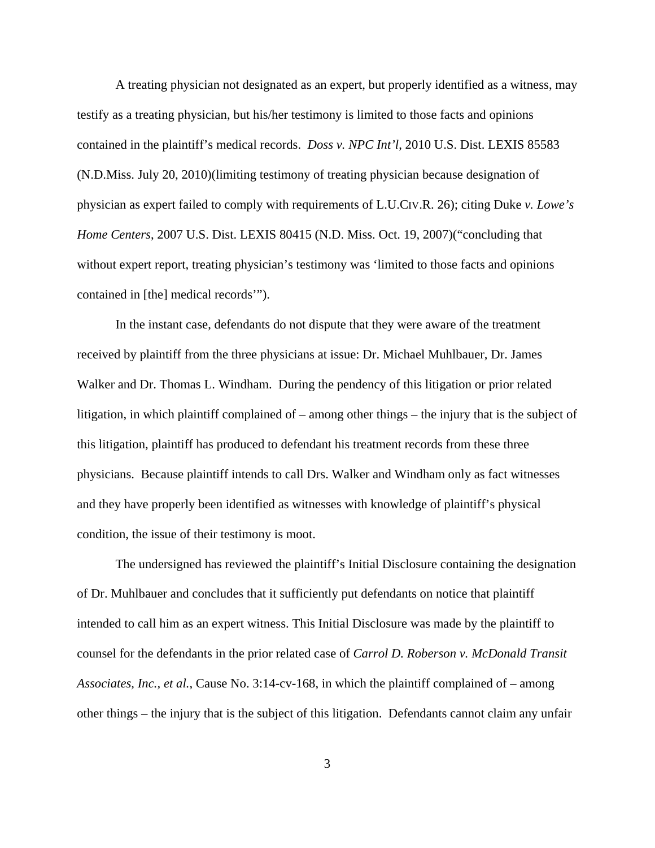A treating physician not designated as an expert, but properly identified as a witness, may testify as a treating physician, but his/her testimony is limited to those facts and opinions contained in the plaintiff's medical records. *Doss v. NPC Int'l*, 2010 U.S. Dist. LEXIS 85583 (N.D.Miss. July 20, 2010)(limiting testimony of treating physician because designation of physician as expert failed to comply with requirements of L.U.CIV.R. 26); citing Duke *v. Lowe's Home Centers*, 2007 U.S. Dist. LEXIS 80415 (N.D. Miss. Oct. 19, 2007) ("concluding that without expert report, treating physician's testimony was 'limited to those facts and opinions contained in [the] medical records'").

In the instant case, defendants do not dispute that they were aware of the treatment received by plaintiff from the three physicians at issue: Dr. Michael Muhlbauer, Dr. James Walker and Dr. Thomas L. Windham. During the pendency of this litigation or prior related litigation, in which plaintiff complained of – among other things – the injury that is the subject of this litigation, plaintiff has produced to defendant his treatment records from these three physicians. Because plaintiff intends to call Drs. Walker and Windham only as fact witnesses and they have properly been identified as witnesses with knowledge of plaintiff's physical condition, the issue of their testimony is moot.

The undersigned has reviewed the plaintiff's Initial Disclosure containing the designation of Dr. Muhlbauer and concludes that it sufficiently put defendants on notice that plaintiff intended to call him as an expert witness. This Initial Disclosure was made by the plaintiff to counsel for the defendants in the prior related case of *Carrol D. Roberson v. McDonald Transit Associates, Inc., et al.*, Cause No. 3:14-cv-168, in which the plaintiff complained of – among other things – the injury that is the subject of this litigation. Defendants cannot claim any unfair

3